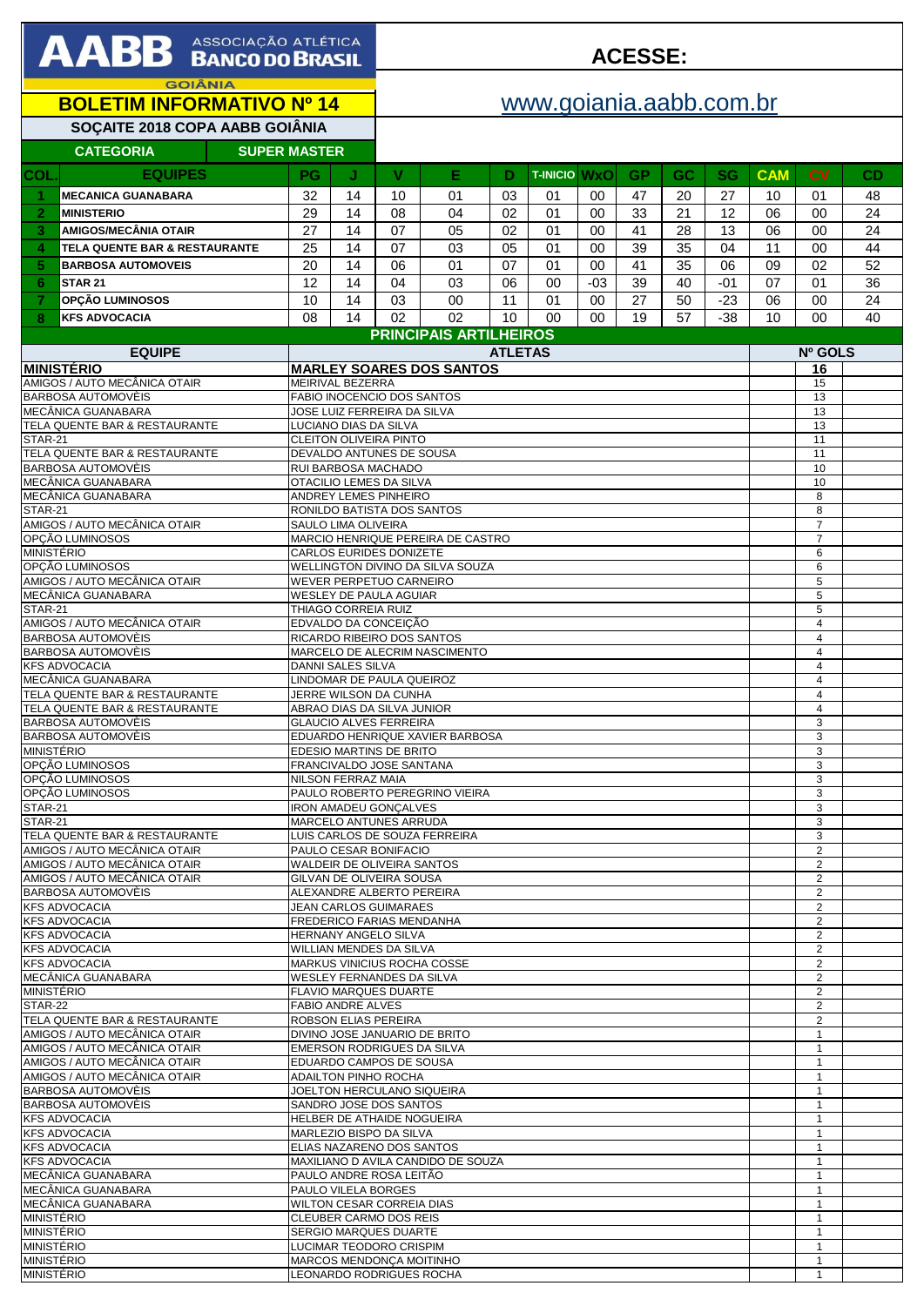| <b>AABB</b> ASSOCIAÇÃO ATLÉTICA                               |                                                              |                                                           |                                                                 | <b>ACESSE:</b>                                                   |                                                  |          |          |                     |          |           |                     |                     |                                  |                              |          |
|---------------------------------------------------------------|--------------------------------------------------------------|-----------------------------------------------------------|-----------------------------------------------------------------|------------------------------------------------------------------|--------------------------------------------------|----------|----------|---------------------|----------|-----------|---------------------|---------------------|----------------------------------|------------------------------|----------|
| <b>GOIÂNIA</b><br><b>BOLETIM INFORMATIVO Nº 14</b>            |                                                              |                                                           |                                                                 |                                                                  | www.goiania.aabb.com.br                          |          |          |                     |          |           |                     |                     |                                  |                              |          |
| SOÇAITE 2018 COPA AABB GOIÂNIA                                |                                                              |                                                           |                                                                 |                                                                  |                                                  |          |          |                     |          |           |                     |                     |                                  |                              |          |
|                                                               | <b>CATEGORIA</b>                                             | <b>SUPER MASTER</b>                                       |                                                                 |                                                                  |                                                  |          |          |                     |          |           |                     |                     |                                  |                              |          |
| <b>COL</b>                                                    | <b>EQUIPES</b>                                               |                                                           | PG                                                              | J                                                                | V                                                | Е        | D        | <b>T-INICIO WXO</b> |          | <b>GP</b> | GC                  | <b>SG</b>           | <b>CAM</b>                       | <b>CV</b>                    | CD       |
| -1                                                            | <b>MECANICA GUANABARA</b>                                    |                                                           | 32                                                              | 14                                                               | 10                                               | 01       | 03       | 01                  | 00       | 47        | 20                  | 27                  | 10                               | 01                           | 48       |
| $\overline{2}$                                                | <b>MINISTERIO</b>                                            |                                                           | 29                                                              | 14                                                               | 08                                               | 04       | 02       | 01                  | 00       | 33        | 21                  | 12                  | 06                               | 00                           | 24       |
| 3<br>4                                                        | <b>AMIGOS/MECÂNIA OTAIR</b><br>TELA QUENTE BAR & RESTAURANTE |                                                           | 27<br>25                                                        | 14<br>14                                                         | 07<br>07                                         | 05<br>03 | 02<br>05 | 01<br>01            | 00<br>00 | 41<br>39  | 28<br>35            | 13<br>04            | 06<br>11                         | 00<br>00                     | 24<br>44 |
| 5                                                             | <b>BARBOSA AUTOMOVEIS</b>                                    |                                                           | 20                                                              | 14                                                               | 06                                               | 01       | 07       | 01                  | 00       | 41        | 35                  | 06                  | 09                               | 02                           | 52       |
| 6                                                             | <b>STAR 21</b>                                               |                                                           | 12                                                              | 14                                                               | 04                                               | 03       | 06       | 00                  | $-03$    | 39        | 40                  | $-01$               | 07                               | 01                           | 36       |
| 7                                                             | OPÇÃO LUMINOSOS                                              |                                                           | 10                                                              | 14                                                               | 03                                               | 00       | 11       | 01                  | 00       | 27        | 50                  | $-23$               | 06                               | 00                           | 24       |
| 8                                                             | <b>KFS ADVOCACIA</b>                                         |                                                           | 08                                                              | 14                                                               | 02                                               | 02       | 10       | 00                  | $00\,$   | 19        | 57                  | $-38$               | 10                               | 00                           | 40       |
| <b>EQUIPE</b>                                                 |                                                              |                                                           |                                                                 | <b>PRINCIPAIS ARTILHEIROS</b><br><b>ATLETAS</b>                  |                                                  |          |          |                     |          |           |                     |                     | Nº GOLS                          |                              |          |
| <b>MINISTÉRIO</b>                                             |                                                              |                                                           | <b>MARLEY SOARES DOS SANTOS</b>                                 |                                                                  |                                                  |          |          |                     |          |           |                     |                     | 16                               |                              |          |
| AMIGOS / AUTO MECÂNICA OTAIR<br>BARBOSA AUTOMOVÈIS            |                                                              |                                                           | MEIRIVAL BEZERRA<br><b>FABIO INOCENCIO DOS SANTOS</b>           |                                                                  |                                                  |          |          |                     |          |           |                     |                     | 15<br>13                         |                              |          |
|                                                               | MECÂNICA GUANABARA                                           |                                                           |                                                                 | JOSE LUIZ FERREIRA DA SILVA                                      |                                                  |          |          |                     |          |           |                     |                     |                                  | 13                           |          |
| TELA QUENTE BAR & RESTAURANTE<br>STAR-21                      |                                                              |                                                           | LUCIANO DIAS DA SILVA<br>CLEITON OLIVEIRA PINTO                 |                                                                  |                                                  |          |          |                     |          |           |                     |                     | 13<br>11                         |                              |          |
|                                                               | TELA QUENTE BAR & RESTAURANTE                                |                                                           | DEVALDO ANTUNES DE SOUSA                                        |                                                                  |                                                  |          |          |                     |          |           |                     |                     | 11                               |                              |          |
|                                                               | BARBOSA AUTOMOVÈIS<br>MECÂNICA GUANABARA                     |                                                           | RUI BARBOSA MACHADO<br>OTACILIO LEMES DA SILVA                  |                                                                  |                                                  |          |          |                     |          |           |                     |                     | 10<br>10                         |                              |          |
| MECÂNICA GUANABARA                                            |                                                              |                                                           | ANDREY LEMES PINHEIRO                                           |                                                                  |                                                  |          |          |                     |          |           |                     |                     | 8                                |                              |          |
| STAR-21<br>AMIGOS / AUTO MECÂNICA OTAIR                       |                                                              |                                                           | RONILDO BATISTA DOS SANTOS<br>SAULO LIMA OLIVEIRA               |                                                                  |                                                  |          |          |                     |          |           |                     |                     | 8<br>$\overline{7}$              |                              |          |
|                                                               | OPÇÃO LUMINOSOS                                              |                                                           | MARCIO HENRIQUE PEREIRA DE CASTRO                               |                                                                  |                                                  |          |          |                     |          |           |                     |                     | $\overline{7}$                   |                              |          |
| <b>MINISTÉRIO</b><br>OPCÃO LUMINOSOS                          |                                                              |                                                           | CARLOS EURIDES DONIZETE<br>WELLINGTON DIVINO DA SILVA SOUZA     |                                                                  |                                                  |          |          |                     |          |           |                     |                     | 6<br>6                           |                              |          |
| AMIGOS / AUTO MECÂNICA OTAIR                                  |                                                              |                                                           | WEVER PERPETUO CARNEIRO                                         |                                                                  |                                                  |          |          |                     |          |           |                     |                     | 5                                |                              |          |
| MECÂNICA GUANABARA<br>STAR-21                                 |                                                              |                                                           | WESLEY DE PAULA AGUIAR<br>THIAGO CORREIA RUIZ                   |                                                                  |                                                  |          |          |                     |          |           |                     |                     | 5<br>5                           |                              |          |
| AMIGOS / AUTO MECÂNICA OTAIR                                  |                                                              |                                                           | EDVALDO DA CONCEIÇÃO                                            |                                                                  |                                                  |          |          |                     |          |           |                     |                     | 4                                |                              |          |
| <b>BARBOSA AUTOMOVÈIS</b><br>BARBOSA AUTOMOVÈIS               |                                                              |                                                           | RICARDO RIBEIRO DOS SANTOS<br>MARCELO DE ALECRIM NASCIMENTO     |                                                                  |                                                  |          |          |                     |          |           |                     |                     | $\overline{4}$<br>$\overline{4}$ |                              |          |
| <b>KFS ADVOCACIA</b>                                          |                                                              |                                                           | DANNI SALES SILVA                                               |                                                                  |                                                  |          |          |                     |          |           |                     |                     | 4                                |                              |          |
| MECÂNICA GUANABARA<br>TELA QUENTE BAR & RESTAURANTE           |                                                              |                                                           | LINDOMAR DE PAULA QUEIROZ<br>JERRE WILSON DA CUNHA              |                                                                  |                                                  |          |          |                     |          |           |                     |                     | 4<br>$\overline{4}$              |                              |          |
| TELA QUENTE BAR & RESTAURANTE                                 |                                                              |                                                           | ABRAO DIAS DA SILVA JUNIOR                                      |                                                                  |                                                  |          |          |                     |          |           |                     |                     | 4                                |                              |          |
|                                                               | BARBOSA AUTOMOVÈIS<br>BARBOSA AUTOMOVÈIS                     |                                                           |                                                                 | <b>GLAUCIO ALVES FERREIRA</b><br>EDUARDO HENRIQUE XAVIER BARBOSA |                                                  |          |          |                     |          |           |                     |                     |                                  | 3<br>3                       |          |
| <b>MINISTÉRIO</b>                                             |                                                              |                                                           | EDESIO MARTINS DE BRITO                                         |                                                                  |                                                  |          |          |                     |          |           |                     |                     | 3                                |                              |          |
|                                                               | OPCÃO LUMINOSOS<br>OPÇÃO LUMINOSOS                           |                                                           | FRANCIVALDO JOSE SANTANA<br>NILSON FERRAZ MAIA                  |                                                                  |                                                  |          |          |                     |          |           |                     |                     | 3<br>3                           |                              |          |
| OPÇÃO LUMINOSOS                                               |                                                              |                                                           | PAULO ROBERTO PEREGRINO VIEIRA                                  |                                                                  |                                                  |          |          |                     |          |           |                     |                     | 3                                |                              |          |
| STAR-21<br>STAR-21                                            |                                                              |                                                           | <b>IRON AMADEU GONCALVES</b><br><b>MARCELO ANTUNES ARRUDA</b>   |                                                                  |                                                  |          |          |                     |          |           |                     |                     | 3<br>3                           |                              |          |
| TELA QUENTE BAR & RESTAURANTE                                 |                                                              |                                                           | LUIS CARLOS DE SOUZA FERREIRA                                   |                                                                  |                                                  |          |          |                     |          |           |                     |                     | 3                                |                              |          |
| AMIGOS / AUTO MECÂNICA OTAIR<br>AMIGOS / AUTO MECÂNICA OTAIR  |                                                              |                                                           | PAULO CESAR BONIFACIO<br>WALDEIR DE OLIVEIRA SANTOS             |                                                                  |                                                  |          |          |                     |          |           |                     |                     | $\overline{2}$<br>2              |                              |          |
| AMIGOS / AUTO MECÂNICA OTAIR                                  |                                                              | GILVAN DE OLIVEIRA SOUSA                                  |                                                                 |                                                                  |                                                  |          |          |                     |          |           |                     | $\overline{2}$      |                                  |                              |          |
| BARBOSA AUTOMOVÈIS<br><b>KFS ADVOCACIA</b>                    |                                                              | ALEXANDRE ALBERTO PEREIRA<br>JEAN CARLOS GUIMARAES        |                                                                 |                                                                  |                                                  |          |          |                     |          |           |                     | 2<br>$\overline{2}$ |                                  |                              |          |
| <b>KFS ADVOCACIA</b>                                          |                                                              | <b>FREDERICO FARIAS MENDANHA</b>                          |                                                                 |                                                                  |                                                  |          |          |                     |          |           |                     | 2                   |                                  |                              |          |
| <b>KFS ADVOCACIA</b><br><b>KFS ADVOCACIA</b>                  |                                                              | HERNANY ANGELO SILVA<br>WILLIAN MENDES DA SILVA           |                                                                 |                                                                  |                                                  |          |          |                     |          |           |                     | 2<br>2              |                                  |                              |          |
| <b>KFS ADVOCACIA</b>                                          |                                                              | MARKUS VINICIUS ROCHA COSSE                               |                                                                 |                                                                  |                                                  |          |          |                     |          |           |                     | $\overline{2}$      |                                  |                              |          |
| MECÂNICA GUANABARA<br><b>MINISTÉRIO</b>                       |                                                              | WESLEY FERNANDES DA SILVA<br><b>FLAVIO MARQUES DUARTE</b> |                                                                 |                                                                  |                                                  |          |          |                     |          |           | 2<br>$\overline{2}$ |                     |                                  |                              |          |
| STAR-22                                                       |                                                              | FABIO ANDRE ALVES                                         |                                                                 |                                                                  |                                                  |          |          |                     |          |           |                     | 2                   |                                  |                              |          |
| TELA QUENTE BAR & RESTAURANTE<br>AMIGOS / AUTO MECÂNICA OTAIR |                                                              |                                                           | ROBSON ELIAS PEREIRA<br>DIVINO JOSE JANUARIO DE BRITO           |                                                                  |                                                  |          |          |                     |          |           |                     |                     | $\overline{2}$<br>$\mathbf{1}$   |                              |          |
| AMIGOS / AUTO MECÂNICA OTAIR                                  |                                                              |                                                           | EMERSON RODRIGUES DA SILVA                                      |                                                                  |                                                  |          |          |                     |          |           |                     |                     | $\mathbf{1}$                     |                              |          |
| AMIGOS / AUTO MECÂNICA OTAIR<br>AMIGOS / AUTO MECÂNICA OTAIR  |                                                              |                                                           | EDUARDO CAMPOS DE SOUSA<br>ADAILTON PINHO ROCHA                 |                                                                  |                                                  |          |          |                     |          |           |                     |                     | $\mathbf{1}$<br>$\mathbf{1}$     |                              |          |
| <b>BARBOSA AUTOMOVÈIS</b>                                     |                                                              |                                                           | JOELTON HERCULANO SIQUEIRA                                      |                                                                  |                                                  |          |          |                     |          |           |                     |                     | $\mathbf{1}$                     |                              |          |
| BARBOSA AUTOMOVÈIS<br><b>KFS ADVOCACIA</b>                    |                                                              |                                                           |                                                                 | SANDRO JOSE DOS SANTOS<br>HELBER DE ATHAIDE NOGUEIRA             |                                                  |          |          |                     |          |           |                     |                     | $\mathbf{1}$<br>1                |                              |          |
| <b>KFS ADVOCACIA</b>                                          |                                                              |                                                           |                                                                 |                                                                  | MARLEZIO BISPO DA SILVA                          |          |          |                     |          |           |                     |                     |                                  | 1                            |          |
| <b>KFS ADVOCACIA</b><br><b>KFS ADVOCACIA</b>                  |                                                              |                                                           | ELIAS NAZARENO DOS SANTOS<br>MAXILIANO D AVILA CANDIDO DE SOUZA |                                                                  |                                                  |          |          |                     |          |           |                     |                     | 1<br>1                           |                              |          |
| MECÂNICA GUANABARA                                            |                                                              |                                                           | PAULO ANDRE ROSA LEITÃO                                         |                                                                  |                                                  |          |          |                     |          |           |                     |                     | 1                                |                              |          |
| MECÂNICA GUANABARA<br>MECÂNICA GUANABARA                      |                                                              |                                                           |                                                                 | PAULO VILELA BORGES                                              |                                                  |          |          |                     |          |           |                     |                     |                                  | 1<br>$\mathbf{1}$            |          |
| <b>MINISTÉRIO</b>                                             |                                                              |                                                           | WILTON CESAR CORREIA DIAS<br>CLEUBER CARMO DOS REIS             |                                                                  |                                                  |          |          |                     |          |           |                     |                     | $\mathbf{1}$                     |                              |          |
|                                                               | <b>MINISTÉRIO</b><br>MINISTÉRIO                              |                                                           |                                                                 |                                                                  | SERGIO MARQUES DUARTE<br>LUCIMAR TEODORO CRISPIM |          |          |                     |          |           |                     |                     |                                  | $\mathbf{1}$<br>$\mathbf{1}$ |          |
|                                                               | <b>MINISTÉRIO</b>                                            |                                                           |                                                                 |                                                                  | MARCOS MENDONCA MOITINHO                         |          |          |                     |          |           |                     |                     |                                  | $\mathbf{1}$                 |          |
| <b>MINISTÉRIO</b>                                             |                                                              |                                                           |                                                                 |                                                                  | LEONARDO RODRIGUES ROCHA                         |          |          |                     |          |           |                     |                     |                                  |                              |          |